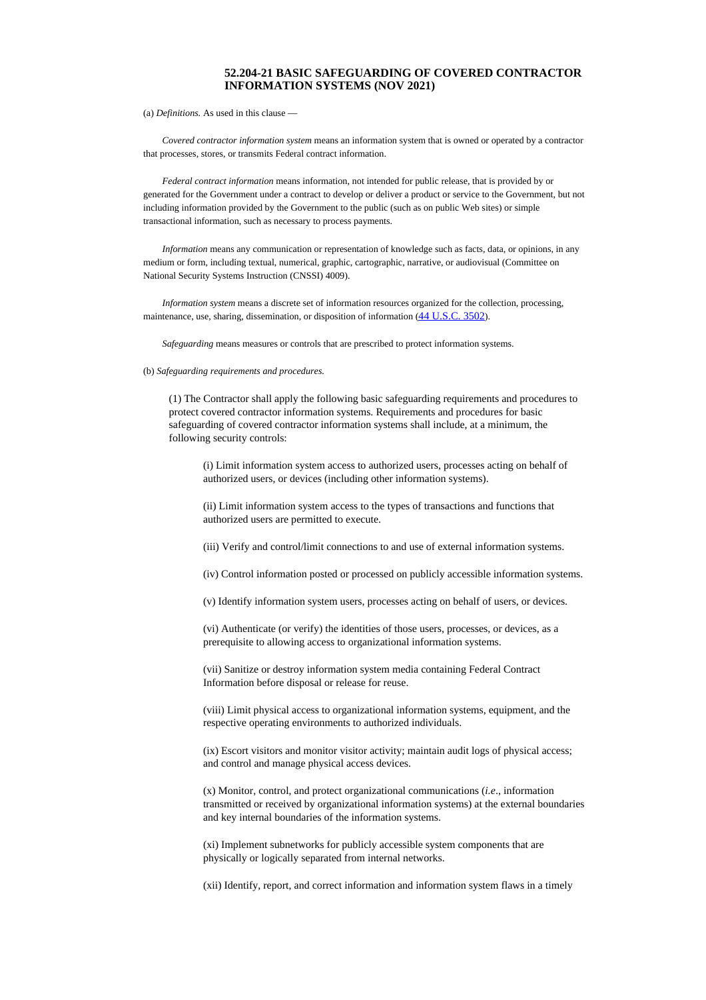## **52.204-21 BASIC SAFEGUARDING OF COVERED CONTRACTOR INFORMATION SYSTEMS (NOV 2021)**

(a) *Definitions.* As used in this clause —

*Covered contractor information system* means an information system that is owned or operated by a contractor that processes, stores, or transmits Federal contract information.

*Federal contract information* means information, not intended for public release, that is provided by or generated for the Government under a contract to develop or deliver a product or service to the Government, but not including information provided by the Government to the public (such as on public Web sites) or simple transactional information, such as necessary to process payments.

*Information* means any communication or representation of knowledge such as facts, data, or opinions, in any medium or form, including textual, numerical, graphic, cartographic, narrative, or audiovisual (Committee on National Security Systems Instruction (CNSSI) 4009).

*Information system* means a discrete set of information resources organized for the collection, processing, maintenance, use, sharing, dissemination, or disposition of information (44 [U.S.C.](http://uscode.house.gov/) 3502).

*Safeguarding* means measures or controls that are prescribed to protect information systems.

(b) *Safeguarding requirements and procedures.*

(1) The Contractor shall apply the following basic safeguarding requirements and procedures to protect covered contractor information systems. Requirements and procedures for basic safeguarding of covered contractor information systems shall include, at a minimum, the following security controls:

(i) Limit information system access to authorized users, processes acting on behalf of authorized users, or devices (including other information systems).

(ii) Limit information system access to the types of transactions and functions that authorized users are permitted to execute.

(iii) Verify and control/limit connections to and use of external information systems.

(iv) Control information posted or processed on publicly accessible information systems.

(v) Identify information system users, processes acting on behalf of users, or devices.

(vi) Authenticate (or verify) the identities of those users, processes, or devices, as a prerequisite to allowing access to organizational information systems.

(vii) Sanitize or destroy information system media containing Federal Contract Information before disposal or release for reuse.

(viii) Limit physical access to organizational information systems, equipment, and the respective operating environments to authorized individuals.

(ix) Escort visitors and monitor visitor activity; maintain audit logs of physical access; and control and manage physical access devices.

(x) Monitor, control, and protect organizational communications (*i.e*., information transmitted or received by organizational information systems) at the external boundaries and key internal boundaries of the information systems.

(xi) Implement subnetworks for publicly accessible system components that are physically or logically separated from internal networks.

(xii) Identify, report, and correct information and information system flaws in a timely